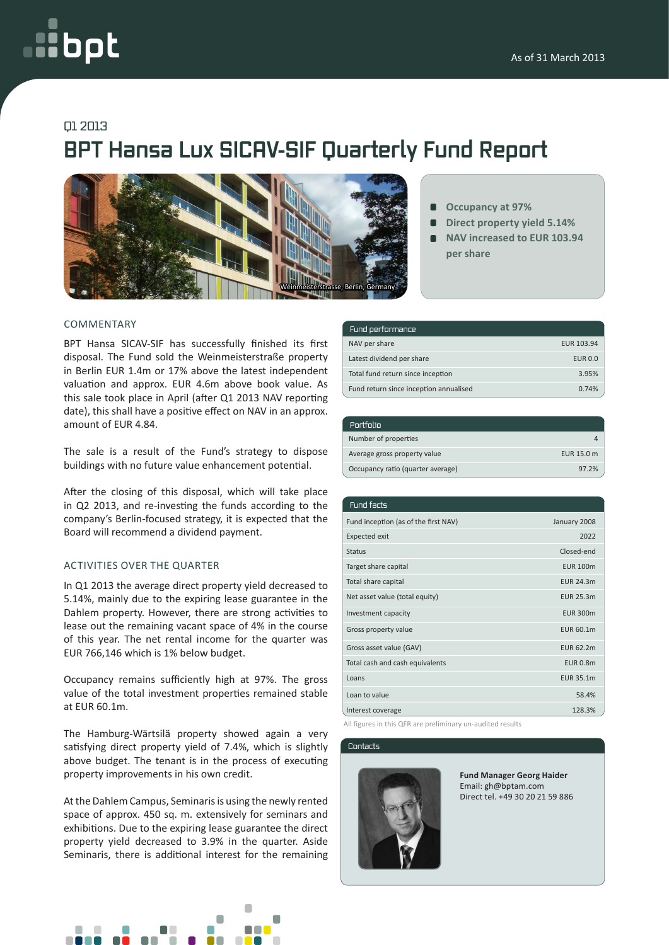# oot

### Q1 2013

## **BPT Hansa Lux SICAV-SIF Quarterly Fund Report**



#### **Occupancy at 97%**  $\blacksquare$

- **Direct property yield 5.14%**  П
- **NAV increased to EUR 103.94 per share**

#### COMMENTARY

BPT Hansa SICAV-SIF has successfully finished its first disposal. The Fund sold the Weinmeisterstraße property in Berlin EUR 1.4m or 17% above the latest independent valuation and approx. EUR 4.6m above book value. As this sale took place in April (after Q1 2013 NAV reporting date), this shall have a positive effect on NAV in an approx. amount of EUR 4.84.

The sale is a result of the Fund's strategy to dispose buildings with no future value enhancement potential.

After the closing of this disposal, which will take place in Q2 2013, and re-investing the funds according to the company's Berlin-focused strategy, it is expected that the Board will recommend a dividend payment.

#### ACTIVITIES OVER THE QUARTER

In Q1 2013 the average direct property yield decreased to 5.14%, mainly due to the expiring lease guarantee in the Dahlem property. However, there are strong activities to lease out the remaining vacant space of 4% in the course of this year. The net rental income for the quarter was EUR 766,146 which is 1% below budget.

Occupancy remains sufficiently high at 97%. The gross value of the total investment properties remained stable at EUR 60.1m.

The Hamburg-Wärtsilä property showed again a very satisfying direct property yield of 7.4%, which is slightly above budget. The tenant is in the process of executing property improvements in his own credit.

At the Dahlem Campus, Seminaris is using the newly rented space of approx. 450 sq. m. extensively for seminars and exhibitions. Due to the expiring lease guarantee the direct property yield decreased to 3.9% in the quarter. Aside Seminaris, there is additional interest for the remaining



| Fund performance                       |                |
|----------------------------------------|----------------|
| NAV per share                          | EUR 103.94     |
| Latest dividend per share              | <b>EUR 0.0</b> |
| Total fund return since inception      | 3.95%          |
| Fund return since inception annualised | 0.74%          |

| Portfolio                         |            |
|-----------------------------------|------------|
| Number of properties              |            |
| Average gross property value      | EUR 15.0 m |
| Occupancy ratio (quarter average) | 97.2%      |

| Fund facts                           |                  |
|--------------------------------------|------------------|
| Fund inception (as of the first NAV) | January 2008     |
| <b>Expected exit</b>                 | 2022             |
| <b>Status</b>                        | Closed-end       |
| Target share capital                 | <b>EUR 100m</b>  |
| Total share capital                  | <b>EUR 24.3m</b> |
| Net asset value (total equity)       | <b>EUR 25.3m</b> |
| Investment capacity                  | <b>EUR 300m</b>  |
| Gross property value                 | EUR 60.1m        |
| Gross asset value (GAV)              | <b>EUR 62.2m</b> |
| Total cash and cash equivalents      | <b>EUR 0.8m</b>  |
| Loans                                | EUR 35.1m        |
| Loan to value                        | 58.4%            |
| Interest coverage                    | 128.3%           |

All figures in this QFR are preliminary un-audited results

#### Contacts



**Fund Manager Georg Haider** Email: gh@bptam.com Direct tel. +49 30 20 21 59 886